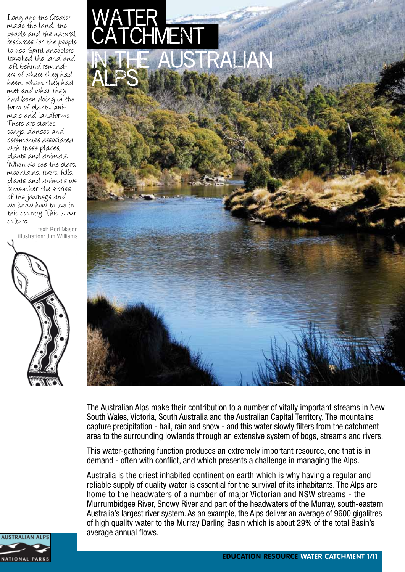Long ago the Creator made the land, the people and the natural resources for the people to use. Spirit ancestors travelled the land and ers of where they had been, whom they had met and what they had been doing in the form of plants, ani- mals and landforms. There are stories, songs, dances and ceremonies associated with these places, plants and animals. When we see the stars, mountains, rivers, hills, plants and animals we remember the stories of the journeys and we know how to live in this country. This is our culture.

text: Rod Mason illustration: Jim Williams







The Australian Alps make their contribution to a number of vitally important streams in New South Wales, Victoria, South Australia and the Australian Capital Territory. The mountains capture precipitation - hail, rain and snow - and this water slowly filters from the catchment area to the surrounding lowlands through an extensive system of bogs, streams and rivers.

This water-gathering function produces an extremely important resource, one that is in demand - often with conflict, and which presents a challenge in managing the Alps.

Australia is the driest inhabited continent on earth which is why having a regular and reliable supply of quality water is essential for the survival of its inhabitants. The Alps are home to the headwaters of a number of major Victorian and NSW streams - the Murrumbidgee River, Snowy River and part of the headwaters of the Murray, south-eastern Australia's largest river system. As an example, the Alps deliver an average of 9600 gigalitres of high quality water to the Murray Darling Basin which is about 29% of the total Basin's average annual flows.

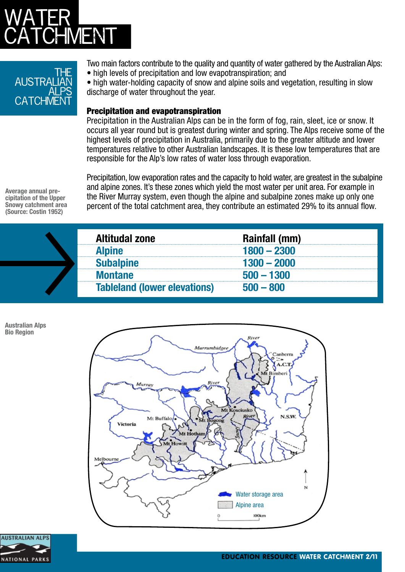# WATER CATCHMENT

### the **AUSTRA** <u>ALPS</u> CATCHME

Two main factors contribute to the quality and quantity of water gathered by the Australian Alps: • high levels of precipitation and low evapotranspiration; and

• high water-holding capacity of snow and alpine soils and vegetation, resulting in slow discharge of water throughout the year.

### Precipitation and evapotranspiration

Precipitation in the Australian Alps can be in the form of fog, rain, sleet, ice or snow. It occurs all year round but is greatest during winter and spring. The Alps receive some of the highest levels of precipitation in Australia, primarily due to the greater altitude and lower temperatures relative to other Australian landscapes. It is these low temperatures that are responsible for the Alp's low rates of water loss through evaporation.

**Average annual pre- cipitation of the Upper Snowy catchment area (Source: Costin 1952)**

Precipitation, low evaporation rates and the capacity to hold water, are greatest in the subalpine and alpine zones. It's these zones which yield the most water per unit area. For example in the River Murray system, even though the alpine and subalpine zones make up only one percent of the total catchment area, they contribute an estimated 29% to its annual flow.

|  | <b>Altitudal zone</b>               | Rainfall (mm) |
|--|-------------------------------------|---------------|
|  | <b>Alpine</b>                       |               |
|  | ubalpine                            | 1300 — 2000   |
|  | Montane                             | $500 - 1300$  |
|  | <b>Tableland (lower elevations)</b> | $500 - 800$   |

**Australian Alps Bio Region**



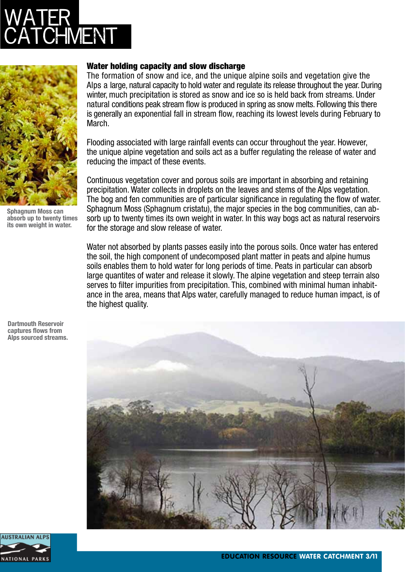# WATER **IMENT**



**Sphagnum Moss can absorb up to twenty times its own weight in water.**

**Dartmouth Reservoir captures flows from Alps sourced streams.**

#### Water holding capacity and slow discharge

The formation of snow and ice, and the unique alpine soils and vegetation give the Alps a large, natural capacity to hold water and regulate its release throughout the year. During winter, much precipitation is stored as snow and ice so is held back from streams. Under natural conditions peak stream flow is produced in spring as snow melts. Following this there is generally an exponential fall in stream flow, reaching its lowest levels during February to March.

Flooding associated with large rainfall events can occur throughout the year. However, the unique alpine vegetation and soils act as a buffer regulating the release of water and reducing the impact of these events.

Continuous vegetation cover and porous soils are important in absorbing and retaining precipitation. Water collects in droplets on the leaves and stems of the Alps vegetation. The bog and fen communities are of particular significance in regulating the flow of water. Sphagnum Moss (Sphagnum cristatu), the major species in the bog communities, can absorb up to twenty times its own weight in water. In this way bogs act as natural reservoirs for the storage and slow release of water.

Water not absorbed by plants passes easily into the porous soils. Once water has entered the soil, the high component of undecomposed plant matter in peats and alpine humus soils enables them to hold water for long periods of time. Peats in particular can absorb large quantites of water and release it slowly. The alpine vegetation and steep terrain also serves to filter impurities from precipitation. This, combined with minimal human inhabitance in the area, means that Alps water, carefully managed to reduce human impact, is of the highest quality.



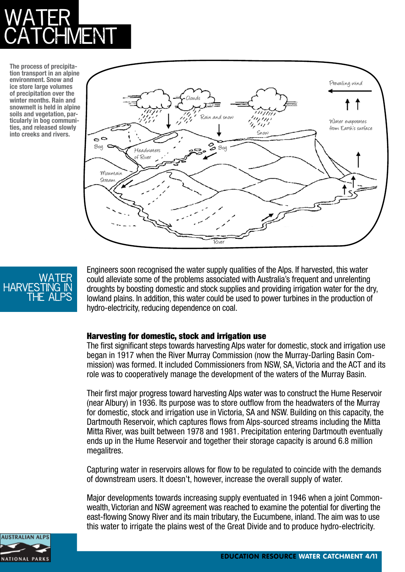# WATER CATCHMENT

**The process of precipitation transport in an alpine environment. Snow and ice store large volumes of precipitation over the winter months. Rain and snowmelt is held in alpine soils and vegetation, particularly in bog communities, and released slowly into creeks and rivers.**





Engineers soon recognised the water supply qualities of the Alps. If harvested, this water could alleviate some of the problems associated with Australia's frequent and unrelenting droughts by boosting domestic and stock supplies and providing irrigation water for the dry, lowland plains. In addition, this water could be used to power turbines in the production of hydro-electricity, reducing dependence on coal.

### Harvesting for domestic, stock and irrigation use

The first significant steps towards harvesting Alps water for domestic, stock and irrigation use began in 1917 when the River Murray Commission (now the Murray-Darling Basin Commission) was formed. It included Commissioners from NSW, SA, Victoria and the ACT and its role was to cooperatively manage the development of the waters of the Murray Basin.

Their first major progress toward harvesting Alps water was to construct the Hume Reservoir (near Albury) in 1936. Its purpose was to store outflow from the headwaters of the Murray for domestic, stock and irrigation use in Victoria, SA and NSW. Building on this capacity, the Dartmouth Reservoir, which captures flows from Alps-sourced streams including the Mitta Mitta River, was built between 1978 and 1981. Precipitation entering Dartmouth eventually ends up in the Hume Reservoir and together their storage capacity is around 6.8 million megalitres.

Capturing water in reservoirs allows for flow to be regulated to coincide with the demands of downstream users. It doesn't, however, increase the overall supply of water.

Major developments towards increasing supply eventuated in 1946 when a joint Commonwealth, Victorian and NSW agreement was reached to examine the potential for diverting the east-flowing Snowy River and its main tributary, the Eucumbene, inland. The aim was to use this water to irrigate the plains west of the Great Divide and to produce hydro-electricity.

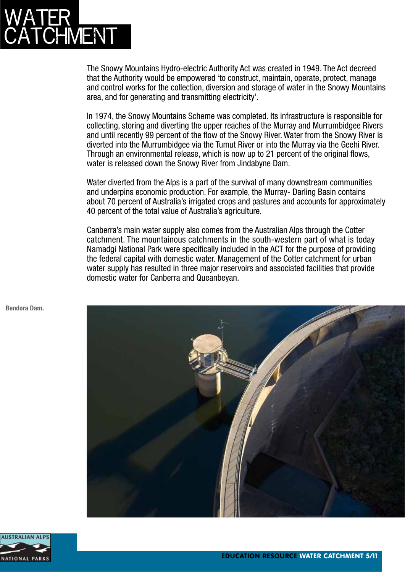# WATER **CHMENT**

The Snowy Mountains Hydro-electric Authority Act was created in 1949. The Act decreed that the Authority would be empowered 'to construct, maintain, operate, protect, manage and control works for the collection, diversion and storage of water in the Snowy Mountains area, and for generating and transmitting electricity'.

In 1974, the Snowy Mountains Scheme was completed. Its infrastructure is responsible for collecting, storing and diverting the upper reaches of the Murray and Murrumbidgee Rivers and until recently 99 percent of the flow of the Snowy River. Water from the Snowy River is diverted into the Murrumbidgee via the Tumut River or into the Murray via the Geehi River. Through an environmental release, which is now up to 21 percent of the original flows, water is released down the Snowy River from Jindabyne Dam.

Water diverted from the Alps is a part of the survival of many downstream communities and underpins economic production. For example, the Murray- Darling Basin contains about 70 percent of Australia's irrigated crops and pastures and accounts for approximately 40 percent of the total value of Australia's agriculture.

Canberra's main water supply also comes from the Australian Alps through the Cotter catchment. The mountainous catchments in the south-western part of what is today Namadgi National Park were specifically included in the ACT for the purpose of providing the federal capital with domestic water. Management of the Cotter catchment for urban water supply has resulted in three major reservoirs and associated facilities that provide domestic water for Canberra and Queanbeyan.





**Bendora Dam.**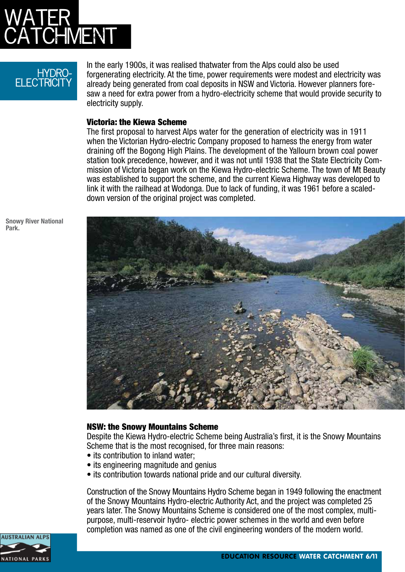

### hydro-**FI FCTRICITY**

In the early 1900s, it was realised thatwater from the Alps could also be used forgenerating electricity. At the time, power requirements were modest and electricity was already being generated from coal deposits in NSW and Victoria. However planners foresaw a need for extra power from a hydro-electricity scheme that would provide security to electricity supply.

#### Victoria: the Kiewa Scheme

The first proposal to harvest Alps water for the generation of electricity was in 1911 when the Victorian Hydro-electric Company proposed to harness the energy from water draining off the Bogong High Plains. The development of the Yallourn brown coal power station took precedence, however, and it was not until 1938 that the State Electricity Commission of Victoria began work on the Kiewa Hydro-electric Scheme. The town of Mt Beauty was established to support the scheme, and the current Kiewa Highway was developed to link it with the railhead at Wodonga. Due to lack of funding, it was 1961 before a scaleddown version of the original project was completed.

**Snowy River National Park.**



#### NSW: the Snowy Mountains Scheme

Despite the Kiewa Hydro-electric Scheme being Australia's first, it is the Snowy Mountains Scheme that is the most recognised, for three main reasons:

- its contribution to inland water;
- its engineering magnitude and genius
- its contribution towards national pride and our cultural diversity.

Construction of the Snowy Mountains Hydro Scheme began in 1949 following the enactment of the Snowy Mountains Hydro-electric Authority Act, and the project was completed 25 years later. The Snowy Mountains Scheme is considered one of the most complex, multipurpose, multi-reservoir hydro- electric power schemes in the world and even before completion was named as one of the civil engineering wonders of the modern world.

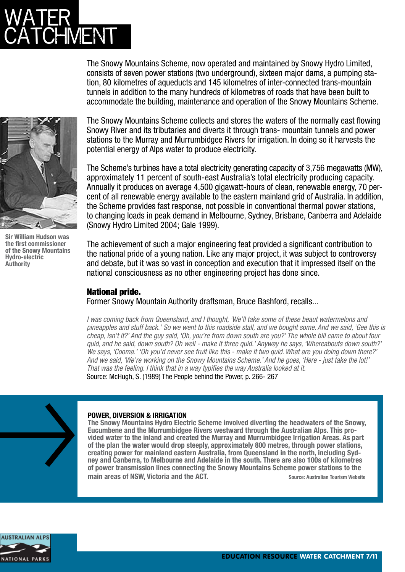# WATER CATCHMENT

The Snowy Mountains Scheme, now operated and maintained by Snowy Hydro Limited, consists of seven power stations (two underground), sixteen major dams, a pumping station, 80 kilometres of aqueducts and 145 kilometres of inter-connected trans-mountain tunnels in addition to the many hundreds of kilometres of roads that have been built to accommodate the building, maintenance and operation of the Snowy Mountains Scheme.



**Sir William Hudson was the first commissioner of the Snowy Mountains Hydro-electric Authority**

The Snowy Mountains Scheme collects and stores the waters of the normally east flowing Snowy River and its tributaries and diverts it through trans- mountain tunnels and power stations to the Murray and Murrumbidgee Rivers for irrigation. In doing so it harvests the potential energy of Alps water to produce electricity.

The Scheme's turbines have a total electricity generating capacity of 3,756 megawatts (MW), approximately 11 percent of south-east Australia's total electricity producing capacity. Annually it produces on average 4,500 gigawatt-hours of clean, renewable energy, 70 percent of all renewable energy available to the eastern mainland grid of Australia. In addition, the Scheme provides fast response, not possible in conventional thermal power stations, to changing loads in peak demand in Melbourne, Sydney, Brisbane, Canberra and Adelaide (Snowy Hydro Limited 2004; Gale 1999).

The achievement of such a major engineering feat provided a significant contribution to the national pride of a young nation. Like any major project, it was subject to controversy and debate, but it was so vast in conception and execution that it impressed itself on the national consciousness as no other engineering project has done since.

### National pride.

Former Snowy Mountain Authority draftsman, Bruce Bashford, recalls...

*I was coming back from Queensland, and I thought, 'We'll take some of these beaut watermelons and pineapples and stuff back.' So we went to this roadside stall, and we bought some. And we said, 'Gee this is cheap, isn't it?' And the guy said, 'Oh, you're from down south are you?' The whole bill came to about four quid, and he said, down south? Oh well - make it three quid.' Anyway he says, 'Whereabouts down south?' We says, 'Cooma.' 'Oh you'd never see fruit like this - make it two quid. What are you doing down there?' And we said, 'We're working on the Snowy Mountains Scheme.' And he goes, 'Here - just take the lot!' That was the feeling. I think that in a way typifies the way Australia looked at it.* Source: McHugh, S. (1989) The People behind the Power, p. 266- 267



#### **POWER, DIVERSION & IRRIGATION**

**The Snowy Mountains Hydro Electric Scheme involved diverting the headwaters of the Snowy, Eucumbene and the Murrumbidgee Rivers westward through the Australian Alps. This provided water to the inland and created the Murray and Murrumbidgee Irrigation Areas. As part of the plan the water would drop steeply, approximately 800 metres, through power stations, creating power for mainland eastern Australia, from Queensland in the north, including Sydney and Canberra, to Melbourne and Adelaide in the south. There are also 100s of kilometres of power transmission lines connecting the Snowy Mountains Scheme power stations to the main areas of NSW, Victoria and the ACT.** Saure: Australian Tourism Website

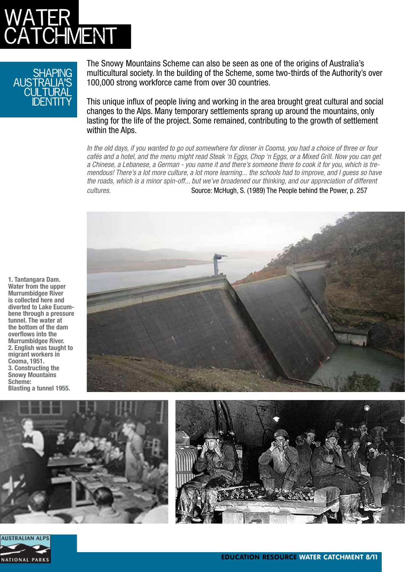

### HAPING australia's CULTURAL identity

The Snowy Mountains Scheme can also be seen as one of the origins of Australia's multicultural society. In the building of the Scheme, some two-thirds of the Authority's over 100,000 strong workforce came from over 30 countries.

This unique influx of people living and working in the area brought great cultural and social changes to the Alps. Many temporary settlements sprang up around the mountains, only lasting for the life of the project. Some remained, contributing to the growth of settlement within the Alps.

*In the old days, if you wanted to go out somewhere for dinner in Cooma, you had a choice of three or four cafés and a hotel, and the menu might read Steak 'n Eggs, Chop 'n Eggs, or a Mixed Grill. Now you can get a Chinese, a Lebanese, a German - you name it and there's someone there to cook it for you, which is tremendous! There's a lot more culture, a lot more learning... the schools had to improve, and I guess so have the roads, which is a minor spin-off... but we've broadened our thinking, and our appreciation of different cultures.* Source: McHugh, S. (1989) The People behind the Power, p. 257



**1. Tantangara Dam. Water from the upper Murrumbidgee River is collected here and bene through a pressure tunnel. The water at the bottom of the dam overflows into the Murrumbidgee River. 2. English was taught to migrant workers in Cooma, 1951. 3. Constructing the Snowy Mountains Scheme: Blasting a tunnel 1955.**



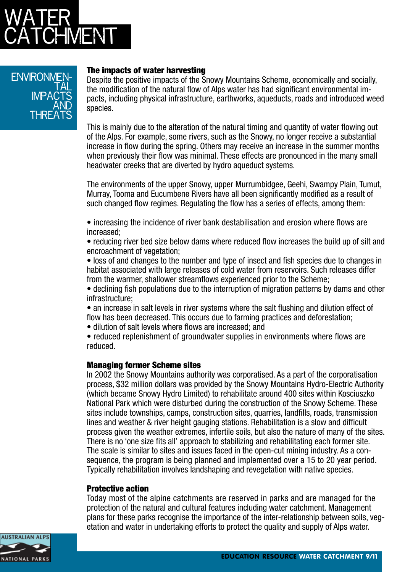

### **ENVIRONMEN** <u>TAL</u>  $IMPA$ and **THREATS**

### The impacts of water harvesting

Despite the positive impacts of the Snowy Mountains Scheme, economically and socially, the modification of the natural flow of Alps water has had significant environmental impacts, including physical infrastructure, earthworks, aqueducts, roads and introduced weed species.

This is mainly due to the alteration of the natural timing and quantity of water flowing out of the Alps. For example, some rivers, such as the Snowy, no longer receive a substantial increase in flow during the spring. Others may receive an increase in the summer months when previously their flow was minimal. These effects are pronounced in the many small headwater creeks that are diverted by hydro aqueduct systems.

The environments of the upper Snowy, upper Murrumbidgee, Geehi, Swampy Plain, Tumut, Murray, Tooma and Eucumbene Rivers have all been significantly modified as a result of such changed flow regimes. Regulating the flow has a series of effects, among them:

• increasing the incidence of river bank destabilisation and erosion where flows are increased;

• reducing river bed size below dams where reduced flow increases the build up of silt and encroachment of vegetation;

• loss of and changes to the number and type of insect and fish species due to changes in habitat associated with large releases of cold water from reservoirs. Such releases differ from the warmer, shallower streamflows experienced prior to the Scheme;

• declining fish populations due to the interruption of migration patterns by dams and other infrastructure;

• an increase in salt levels in river systems where the salt flushing and dilution effect of flow has been decreased. This occurs due to farming practices and deforestation;

• dilution of salt levels where flows are increased; and

• reduced replenishment of groundwater supplies in environments where flows are reduced.

#### Managing former Scheme sites

In 2002 the Snowy Mountains authority was corporatised. As a part of the corporatisation process, \$32 million dollars was provided by the Snowy Mountains Hydro-Electric Authority (which became Snowy Hydro Limited) to rehabilitate around 400 sites within Kosciuszko National Park which were disturbed during the construction of the Snowy Scheme. These sites include townships, camps, construction sites, quarries, landfills, roads, transmission lines and weather & river height gauging stations. Rehabilitation is a slow and difficult process given the weather extremes, infertile soils, but also the nature of many of the sites. There is no 'one size fits all' approach to stabilizing and rehabilitating each former site. The scale is similar to sites and issues faced in the open-cut mining industry. As a consequence, the program is being planned and implemented over a 15 to 20 year period. Typically rehabilitation involves landshaping and revegetation with native species.

#### Protective action

Today most of the alpine catchments are reserved in parks and are managed for the protection of the natural and cultural features including water catchment. Management plans for these parks recognise the importance of the inter-relationship between soils, vegetation and water in undertaking efforts to protect the quality and supply of Alps water.

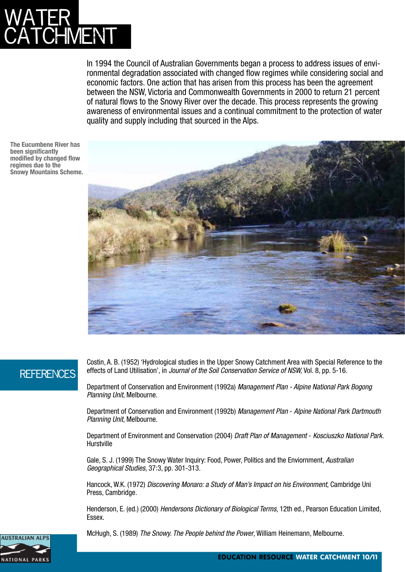# WATER **HMENT**

In 1994 the Council of Australian Governments began a process to address issues of environmental degradation associated with changed flow regimes while considering social and economic factors. One action that has arisen from this process has been the agreement between the NSW, Victoria and Commonwealth Governments in 2000 to return 21 percent of natural flows to the Snowy River over the decade. This process represents the growing awareness of environmental issues and a continual commitment to the protection of water quality and supply including that sourced in the Alps.

**The Eucumbene River has been significantly modified by changed flow regimes due to the Snowy Mountains Scheme.**



## **REFERENCES**

Costin, A. B. (1952) 'Hydrological studies in the Upper Snowy Catchment Area with Special Reference to the effects of Land Utilisation', in *Journal of the Soil Conservation Service of NSW,* Vol. 8, pp. 5-16.

Department of Conservation and Environment (1992a) *Management Plan - Alpine National Park Bogong Planning Unit*, Melbourne.

Department of Conservation and Environment (1992b) *Management Plan* - *Alpine National Park Dartmouth Planning Unit*, Melbourne.

Department of Environment and Conservation (2004) *Draft Plan of Management* - *Kosciuszko National Park*. **Hurstville** 

Gale, S. J. (1999) The Snowy Water Inquiry: Food, Power, Politics and the Enviornment, *Australian Geographical Studies*, 37:3, pp. 301-313.

Hancock, W.K. (1972) *Discovering Monaro: a Study of Man's Impact on his Environment*, Cambridge Uni Press, Cambridge.

Henderson, E. (ed.) (2000) *Hendersons Dictionary of Biological Terms*, 12th ed., Pearson Education Limited, Essex.



McHugh, S. (1989) *The Snowy. The People behind the Power*, William Heinemann, Melbourne.